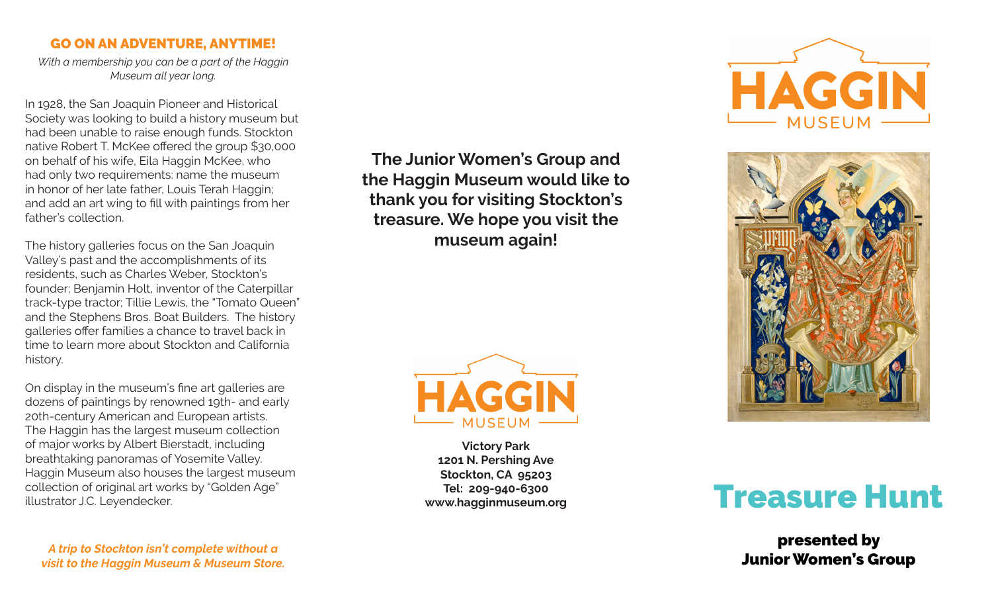## GO ON AN ADVENTURE, ANYTIME!

*With a membership you can be a part of the Haggin Museum all year long.* 

In 1928, the San Joaquin Pioneer and Historical Society was looking to build a history museum but had been unable to raise enough funds. Stockton native Robert T. McKee offered the group \$30,000 on behalf of his wife, Eila Haggin McKee, who had only two requirements: name the museum in honor of her late father, Louis Terah Haggin; and add an art wing to fill with paintings from her father's collection.

The history galleries focus on the San Joaquin Valley's past and the accomplishments of its residents, such as Charles Weber, Stockton's founder; Benjamin Holt, inventor of the Caterpillar track-type tractor; Tillie Lewis, the "Tomato Queen" and the Stephens Bros. Boat Builders. The history galleries offer families a chance to travel back in time to learn more about Stockton and California history.

On display in the museum's fine art galleries are dozens of paintings by renowned 19th- and early 20th-century American and European artists. The Haggin has the largest museum collection of major works by Albert Bierstadt, including breathtaking panoramas of Yosemite Valley. Haggin Museum also houses the largest museum collection of original art works by "Golden Age" collection of original art works by "Golden Age" Tel: 209-940-6300<br>illustrator J.C. Leyendecker. Note: No. 2001 No. 2010 www.haqqinmuseum.org Treasure Treasure Hunt

*A trip to Stockton isn't complete without a visit to the Haggin Museum & Museum Store.*

**The Junior Women's Group and the Haggin Museum would like to thank you for visiting Stockton's treasure. We hope you visit the museum again!**



**Victory Park 1201 N. Pershing Ave Stockton, CA 95203 Tel: 209-940-6300 www.hagginmuseum.org** 





presented by Junior Women's Group